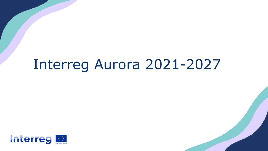# Interreg Aurora 2021-2027

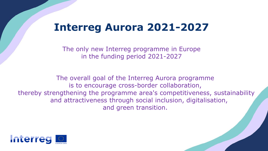## **Interreg Aurora 2021-2027**

The only new Interreg programme in Europe in the funding period 2021-2027

The overall goal of the Interreg Aurora programme is to encourage cross-border collaboration, thereby strengthening the programme area's competitiveness, sustainability and attractiveness through social inclusion, digitalisation, and green transition.

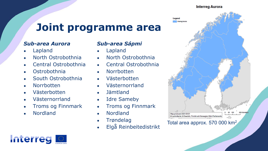#### **Interreg Aurora**

## **Joint programme area**

#### *Sub-area Aurora*

- Lapland
- North Ostrobothnia
- Central Ostrobothnia
- **Ostrobothnia**
- South Ostrobothnia
- **Norrbotten**
- Västerbotten
- Västernorrland
- Troms og Finnmark
- **Nordland**

#### *Sub-area Sápmi*

- **Lapland**
- North Ostrobothnia
- Central Ostrobothnia
- Norrbotten
- Västerbotten
- Västernorrland
- Jämtland
- Idre Sameby
- Troms og Finnmark
- Nordland
- **Trøndelag**
- 



## ● Elgå Reinbeitedistrikt Total area approx. 570 000 km2

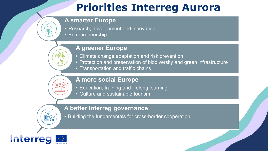## **Priorities Interreg Aurora**

#### **A smarter Europe**

- Research, development and innovation
- Entrepreneurship

#### **A greener Europe**

- Climate change adaptation and risk prevention
- Protection and preservation of biodiversity and green infrastructure
- Transportation and traffic chains

### **A more social Europe**

- Education, training and lifelong learning
- Culture and sustainable tourism

#### **A better Interreg governance**

• Building the fundamentals for cross-border cooperation

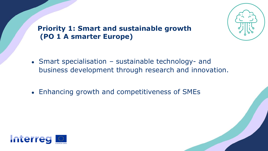

### **Priority 1: Smart and sustainable growth (PO 1 A smarter Europe)**

- Smart specialisation sustainable technology- and business development through research and innovation.
- Enhancing growth and competitiveness of SMEs

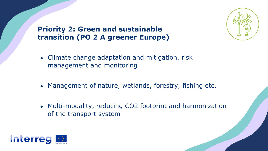**Priority 2: Green and sustainable transition (PO 2 A greener Europe)**



- Management of nature, wetlands, forestry, fishing etc.
- Multi-modality, reducing CO2 footprint and harmonization of the transport system

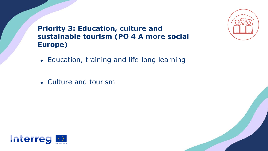

**Priority 3: Education, culture and sustainable tourism (PO 4 A more social Europe)**

- Education, training and life-long learning
- Culture and tourism

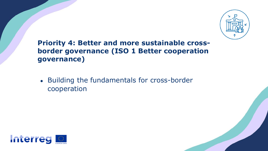

### **Priority 4: Better and more sustainable crossborder governance (ISO 1 Better cooperation governance)**

• Building the fundamentals for cross-border cooperation

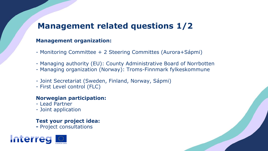## **Management related questions 1/2**

#### **Management organization:**

- Monitoring Committee + 2 Steering Committes (Aurora+Sápmi)
- Managing authority (EU): County Administrative Board of Norrbotten
- Managing organization (Norway): Troms-Finnmark fylkeskommune
- Joint Secretariat (Sweden, Finland, Norway, Sápmi)
- First Level control (FLC)

#### **Norwegian participation:**

- Lead Partner
- Joint application

#### **Test your project idea:**

**-** Project consultations

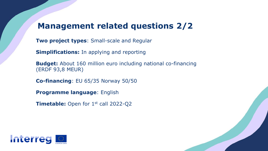### **Management related questions 2/2**

**Two project types**: Small-scale and Regular

**Simplifications:** In applying and reporting

**Budget:** About 160 million euro including national co-financing (ERDF 93,8 MEUR)

**Co-financing**: EU 65/35 Norway 50/50

**Programme language**: English

**Timetable:** Open for 1<sup>st</sup> call 2022-Q2